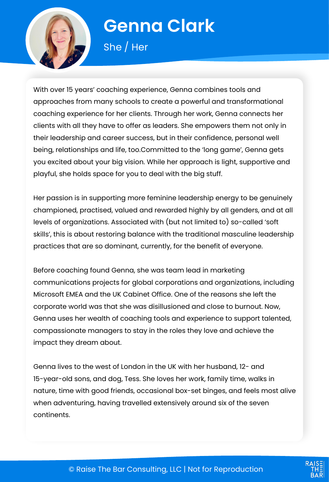

# **Genna Clark**

She / Her

With over 15 years' coaching experience, Genna combines tools and approaches from many schools to create a powerful and transformational coaching experience for her clients. Through her work, Genna connects her clients with all they have to offer as leaders. She empowers them not only in their leadership and career success, but in their confidence, personal well being, relationships and life, too.Committed to the 'long game', Genna gets you excited about your big vision. While her approach is light, supportive and playful, she holds space for you to deal with the big stuff.

Her passion is in supporting more feminine leadership energy to be genuinely championed, practised, valued and rewarded highly by all genders, and at all levels of organizations. Associated with (but not limited to) so-called 'soft skills', this is about restoring balance with the traditional masculine leadership practices that are so dominant, currently, for the benefit of everyone.

Before coaching found Genna, she was team lead in marketing communications projects for global corporations and organizations, including Microsoft EMEA and the UK Cabinet Office. One of the reasons she left the corporate world was that she was disillusioned and close to burnout. Now, Genna uses her wealth of coaching tools and experience to support talented, compassionate managers to stay in the roles they love and achieve the impact they dream about.

Genna lives to the west of London in the UK with her husband, 12- and 15-year-old sons, and dog, Tess. She loves her work, family time, walks in nature, time with good friends, occasional box-set binges, and feels most alive when adventuring, having travelled extensively around six of the seven continents.